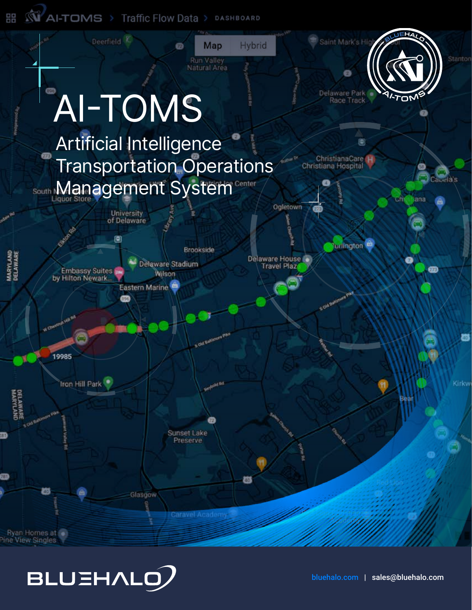**WAI-TOMS** > Traffic Flow Data > DASHBOARD 먦